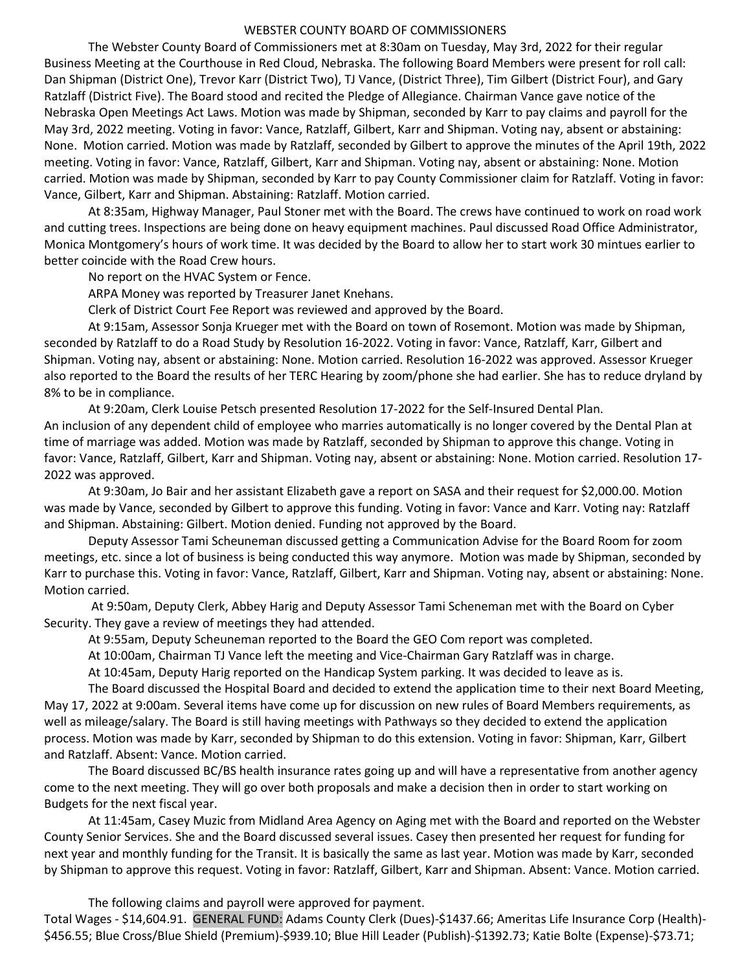## WEBSTER COUNTY BOARD OF COMMISSIONERS

 The Webster County Board of Commissioners met at 8:30am on Tuesday, May 3rd, 2022 for their regular Business Meeting at the Courthouse in Red Cloud, Nebraska. The following Board Members were present for roll call: Dan Shipman (District One), Trevor Karr (District Two), TJ Vance, (District Three), Tim Gilbert (District Four), and Gary Ratzlaff (District Five). The Board stood and recited the Pledge of Allegiance. Chairman Vance gave notice of the Nebraska Open Meetings Act Laws. Motion was made by Shipman, seconded by Karr to pay claims and payroll for the May 3rd, 2022 meeting. Voting in favor: Vance, Ratzlaff, Gilbert, Karr and Shipman. Voting nay, absent or abstaining: None. Motion carried. Motion was made by Ratzlaff, seconded by Gilbert to approve the minutes of the April 19th, 2022 meeting. Voting in favor: Vance, Ratzlaff, Gilbert, Karr and Shipman. Voting nay, absent or abstaining: None. Motion carried. Motion was made by Shipman, seconded by Karr to pay County Commissioner claim for Ratzlaff. Voting in favor: Vance, Gilbert, Karr and Shipman. Abstaining: Ratzlaff. Motion carried.

 At 8:35am, Highway Manager, Paul Stoner met with the Board. The crews have continued to work on road work and cutting trees. Inspections are being done on heavy equipment machines. Paul discussed Road Office Administrator, Monica Montgomery's hours of work time. It was decided by the Board to allow her to start work 30 mintues earlier to better coincide with the Road Crew hours.

No report on the HVAC System or Fence.

ARPA Money was reported by Treasurer Janet Knehans.

Clerk of District Court Fee Report was reviewed and approved by the Board.

 At 9:15am, Assessor Sonja Krueger met with the Board on town of Rosemont. Motion was made by Shipman, seconded by Ratzlaff to do a Road Study by Resolution 16-2022. Voting in favor: Vance, Ratzlaff, Karr, Gilbert and Shipman. Voting nay, absent or abstaining: None. Motion carried. Resolution 16-2022 was approved. Assessor Krueger also reported to the Board the results of her TERC Hearing by zoom/phone she had earlier. She has to reduce dryland by 8% to be in compliance.

 At 9:20am, Clerk Louise Petsch presented Resolution 17-2022 for the Self-Insured Dental Plan. An inclusion of any dependent child of employee who marries automatically is no longer covered by the Dental Plan at time of marriage was added. Motion was made by Ratzlaff, seconded by Shipman to approve this change. Voting in favor: Vance, Ratzlaff, Gilbert, Karr and Shipman. Voting nay, absent or abstaining: None. Motion carried. Resolution 17- 2022 was approved.

 At 9:30am, Jo Bair and her assistant Elizabeth gave a report on SASA and their request for \$2,000.00. Motion was made by Vance, seconded by Gilbert to approve this funding. Voting in favor: Vance and Karr. Voting nay: Ratzlaff and Shipman. Abstaining: Gilbert. Motion denied. Funding not approved by the Board.

 Deputy Assessor Tami Scheuneman discussed getting a Communication Advise for the Board Room for zoom meetings, etc. since a lot of business is being conducted this way anymore. Motion was made by Shipman, seconded by Karr to purchase this. Voting in favor: Vance, Ratzlaff, Gilbert, Karr and Shipman. Voting nay, absent or abstaining: None. Motion carried.

 At 9:50am, Deputy Clerk, Abbey Harig and Deputy Assessor Tami Scheneman met with the Board on Cyber Security. They gave a review of meetings they had attended.

At 9:55am, Deputy Scheuneman reported to the Board the GEO Com report was completed.

At 10:00am, Chairman TJ Vance left the meeting and Vice-Chairman Gary Ratzlaff was in charge.

At 10:45am, Deputy Harig reported on the Handicap System parking. It was decided to leave as is.

 The Board discussed the Hospital Board and decided to extend the application time to their next Board Meeting, May 17, 2022 at 9:00am. Several items have come up for discussion on new rules of Board Members requirements, as well as mileage/salary. The Board is still having meetings with Pathways so they decided to extend the application process. Motion was made by Karr, seconded by Shipman to do this extension. Voting in favor: Shipman, Karr, Gilbert and Ratzlaff. Absent: Vance. Motion carried.

 The Board discussed BC/BS health insurance rates going up and will have a representative from another agency come to the next meeting. They will go over both proposals and make a decision then in order to start working on Budgets for the next fiscal year.

 At 11:45am, Casey Muzic from Midland Area Agency on Aging met with the Board and reported on the Webster County Senior Services. She and the Board discussed several issues. Casey then presented her request for funding for next year and monthly funding for the Transit. It is basically the same as last year. Motion was made by Karr, seconded by Shipman to approve this request. Voting in favor: Ratzlaff, Gilbert, Karr and Shipman. Absent: Vance. Motion carried.

The following claims and payroll were approved for payment.

Total Wages - \$14,604.91. GENERAL FUND: Adams County Clerk (Dues)-\$1437.66; Ameritas Life Insurance Corp (Health)- \$456.55; Blue Cross/Blue Shield (Premium)-\$939.10; Blue Hill Leader (Publish)-\$1392.73; Katie Bolte (Expense)-\$73.71;